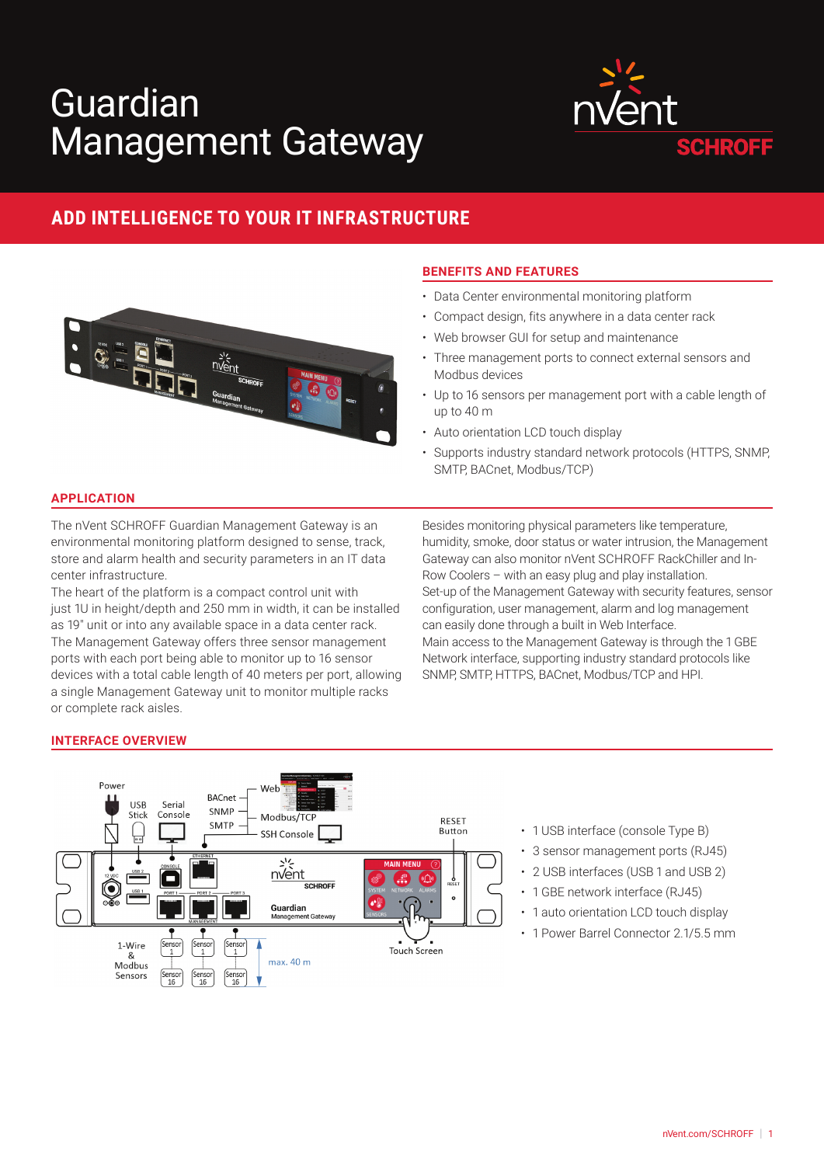# Guardian Management Gateway



# **ADD INTELLIGENCE TO YOUR IT INFRASTRUCTURE**



## **BENEFITS AND FEATURES**

- Data Center environmental monitoring platform
- Compact design, fits anywhere in a data center rack
- Web browser GUI for setup and maintenance
- Three management ports to connect external sensors and Modbus devices
- Up to 16 sensors per management port with a cable length of up to 40 m
- Auto orientation LCD touch display
- Supports industry standard network protocols (HTTPS, SNMP, SMTP, BACnet, Modbus/TCP)

### **APPLICATION**

The nVent SCHROFF Guardian Management Gateway is an environmental monitoring platform designed to sense, track, store and alarm health and security parameters in an IT data center infrastructure.

The heart of the platform is a compact control unit with just 1U in height/depth and 250 mm in width, it can be installed as 19″ unit or into any available space in a data center rack. The Management Gateway offers three sensor management ports with each port being able to monitor up to 16 sensor devices with a total cable length of 40 meters per port, allowing a single Management Gateway unit to monitor multiple racks or complete rack aisles.

Besides monitoring physical parameters like temperature, humidity, smoke, door status or water intrusion, the Management Gateway can also monitor nVent SCHROFF RackChiller and In-Row Coolers – with an easy plug and play installation. Set-up of the Management Gateway with security features, sensor configuration, user management, alarm and log management can easily done through a built in Web Interface. Main access to the Management Gateway is through the 1 GBE Network interface, supporting industry standard protocols like SNMP, SMTP, HTTPS, BACnet, Modbus/TCP and HPI.

#### **INTERFACE OVERVIEW**



- 1 USB interface (console Type B)
- 3 sensor management ports (RJ45)
- 2 USB interfaces (USB 1 and USB 2)
- 1 GBE network interface (RJ45)
- 1 auto orientation LCD touch display
- 1 Power Barrel Connector 2.1/5.5 mm